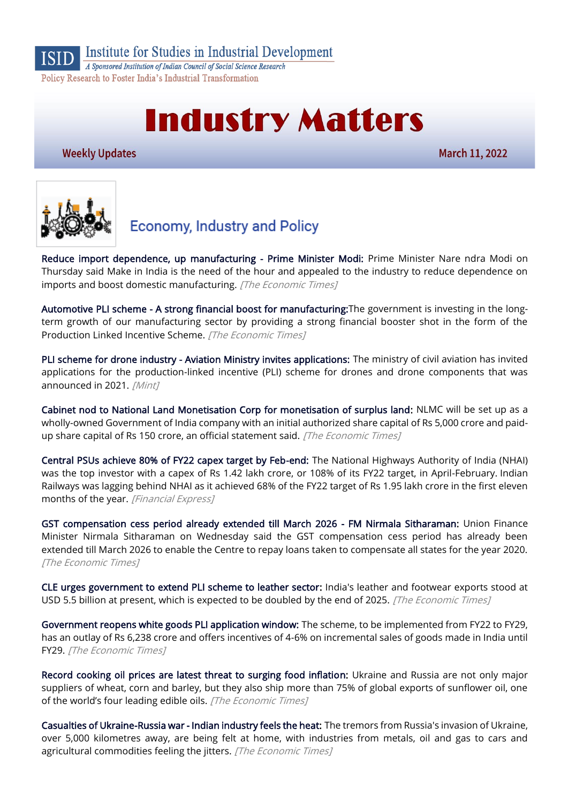

Institute for Studies in Industrial Development

A Sponsored Institution of Indian Council of Social Science Research Policy Research to Foster India's Industrial Transformation

# **Industry Matters**

**Weekly Updates** 

March 11, 2022



### **Economy, Industry and Policy**

[Reduce import dependence, up manufacturing - Prime Minister Modi:](https://economictimes.indiatimes.com/news/india/make-in-india-is-need-of-the-hour-prime-minister-modi/articleshow/89963216.cms) Prime Minister Nare ndra Modi on Thursday said Make in India is the need of the hour and appealed to the industry to reduce dependence on imports and boost domestic manufacturing. [The Economic Times]

[Automotive PLI scheme - A strong financial boost for manufacturing:T](https://economictimes.indiatimes.com/industry/auto/auto-components/automotive-pli-scheme-a-strong-financial-boost-for-manufacturing/articleshow/89978310.cms)he government is investing in the longterm growth of our manufacturing sector by providing a strong financial booster shot in the form of the Production Linked Incentive Scheme. [The Economic Times]

[PLI scheme for drone industry - Aviation Ministry invites applications:](https://www.livemint.com/news/india/pli-scheme-for-drone-industry-aviation-ministry-invites-applications-11646935161464.html) The ministry of civil aviation has invited applications for the production-linked incentive (PLI) scheme for drones and drone components that was announced in 2021. [Mint]

[Cabinet nod to National Land Monetisation Corp for monetisation of surplus land:](https://economictimes.indiatimes.com/news/economy/policy/cabinet-nod-to-national-land-monetisation-corp-for-monetisation-of-surplus-land/articleshow/90097531.cms) NLMC will be set up as a wholly-owned Government of India company with an initial authorized share capital of Rs 5,000 crore and paidup share capital of Rs 150 crore, an official statement said. [The Economic Times]

[Central PSUs achieve 80% of FY22 capex target by Feb-end:](https://www.financialexpress.com/economy/central-psus-achieve-80-of-fy22-capex-target-by-feb-end/2455888/) The National Highways Authority of India (NHAI) was the top investor with a capex of Rs 1.42 lakh crore, or 108% of its FY22 target, in April-February. Indian Railways was lagging behind NHAI as it achieved 68% of the FY22 target of Rs 1.95 lakh crore in the first eleven months of the year. [Financial Express]

[GST compensation cess period already extended till March 2026 - FM Nirmala Sitharaman:](https://economictimes.indiatimes.com/news/economy/finance/gst-compensation-cess-period-already-extended-till-march-2026-fm-nirmala-sitharaman/articleshow/90107731.cms) Union Finance Minister Nirmala Sitharaman on Wednesday said the GST compensation cess period has already been extended till March 2026 to enable the Centre to repay loans taken to compensate all states for the year 2020. [The Economic Times]

[CLE urges government to extend PLI scheme to leather sector:](https://economictimes.indiatimes.com/news/economy/foreign-trade/cle-urges-government-to-extend-pli-scheme-to-leather-sector/articleshow/90108141.cms) India's leather and footwear exports stood at USD 5.5 billion at present, which is expected to be doubled by the end of 2025. [The Economic Times]

[Government reopens white goods PLI application window:](https://economictimes.indiatimes.com/industry/cons-products/durables/government-reopens-white-goods-pli-application-window/articleshow/90060224.cms) The scheme, to be implemented from FY22 to FY29, has an outlay of Rs 6,238 crore and offers incentives of 4-6% on incremental sales of goods made in India until FY29. [The Economic Times]

[Record cooking oil prices are latest threat to surging food inflation:](https://economictimes.indiatimes.com/industry/cons-products/food/record-cooking-oils-are-latest-threat-to-surging-food-inflation/articleshow/89984904.cms) Ukraine and Russia are not only major suppliers of wheat, corn and barley, but they also ship more than 75% of global exports of sunflower oil, one of the world's four leading edible oils. [The Economic Times]

[Casualties of Ukraine-Russia war - Indian industry feels the heat:](https://economictimes.indiatimes.com/news/economy/indicators/casualties-of-russia-ukraine-war-industry-feels-the-heat/articleshow/89981116.cms) The tremors from Russia's invasion of Ukraine, over 5,000 kilometres away, are being felt at home, with industries from metals, oil and gas to cars and agricultural commodities feeling the jitters. [The Economic Times]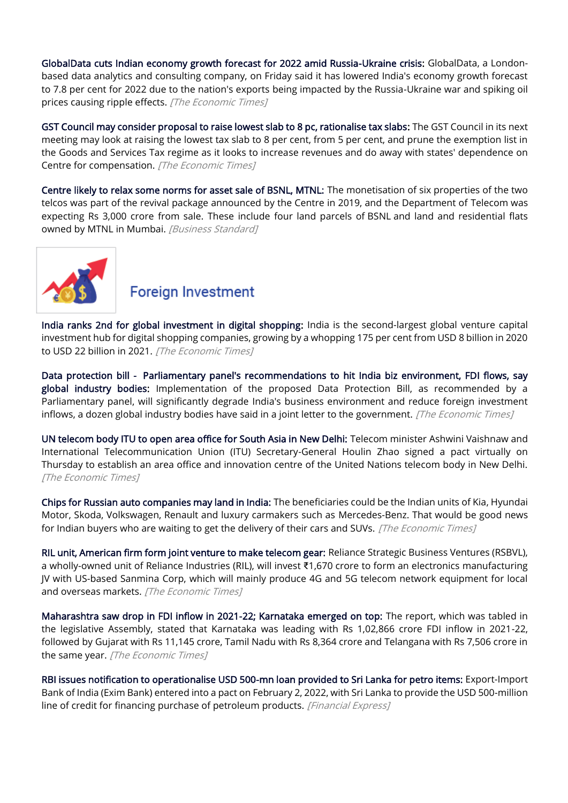[GlobalData cuts Indian economy growth forecast for 2022 amid Russia-Ukraine crisis:](https://economictimes.indiatimes.com/news/economy/indicators/globaldata-cuts-indian-economy-growth-forecast-for-2022-amid-russia-ukraine-crisis/articleshow/89991434.cms) GlobalData, a Londonbased data analytics and consulting company, on Friday said it has lowered India's economy growth forecast to 7.8 per cent for 2022 due to the nation's exports being impacted by the Russia-Ukraine war and spiking oil prices causing ripple effects. [The Economic Times]

[GST Council may consider proposal to raise lowest slab to 8 pc, rationalise tax slabs:](https://economictimes.indiatimes.com/news/economy/policy/gst-council-may-consider-proposal-to-raise-lowest-slab-to-8-pc-rationalise-tax-slabs/articleshow/90027776.cms) The GST Council in its next meeting may look at raising the lowest tax slab to 8 per cent, from 5 per cent, and prune the exemption list in the Goods and Services Tax regime as it looks to increase revenues and do away with states' dependence on Centre for compensation. [The Economic Times]

[Centre likely to relax some norms for asset sale of BSNL, MTNL:](https://www.business-standard.com/article/companies/centre-likely-to-relax-some-norms-for-asset-sale-of-bsnl-mtnl-122030900014_1.html) The monetisation of six properties of the two telcos was part of the revival package announced by the Centre in 2019, and the Department of Telecom was expecting Rs 3,000 crore from sale. These include four land parcels of BSNL and land and residential flats owned by MTNL in Mumbai. [Business Standard]



#### **Foreign Investment**

[India ranks 2nd for global investment in digital shopping:](https://economictimes.indiatimes.com/industry/banking/finance/india-ranks-2nd-for-global-investment-in-digital-shopping/articleshow/90103695.cms) India is the second-largest global venture capital investment hub for digital shopping companies, growing by a whopping 175 per cent from USD 8 billion in 2020 to USD 22 billion in 2021. [The Economic Times]

[Data protection bill - Parliamentary panel's recommendations to hit India biz environment, FDI flows, say](https://economictimes.indiatimes.com/news/economy/policy/data-protection-bill-parliamentary-panels-recommendations-to-hit-india-biz-environment-fdi-flows-say-global-industry-bodies/articleshow/89995960.cms)  [global industry bodies:](https://economictimes.indiatimes.com/news/economy/policy/data-protection-bill-parliamentary-panels-recommendations-to-hit-india-biz-environment-fdi-flows-say-global-industry-bodies/articleshow/89995960.cms) Implementation of the proposed Data Protection Bill, as recommended by a Parliamentary panel, will significantly degrade India's business environment and reduce foreign investment inflows, a dozen global industry bodies have said in a joint letter to the government. *[The Economic Times]* 

[UN telecom body ITU to open area office for South Asia in New Delhi:](https://economictimes.indiatimes.com/industry/telecom/telecom-news/un-telecom-body-itu-to-open-area-office-for-south-asia-in-new-delhi/articleshow/89978390.cms) Telecom minister Ashwini Vaishnaw and International Telecommunication Union (ITU) Secretary-General Houlin Zhao signed a pact virtually on Thursday to establish an area office and innovation centre of the United Nations telecom body in New Delhi. [The Economic Times]

[Chips for Russian auto companies may land in India:](https://economictimes.indiatimes.com/industry/auto/auto-news/chips-for-russian-auto-companies-may-land-in-india/articleshow/90061678.cms) The beneficiaries could be the Indian units of Kia, Hyundai Motor, Skoda, Volkswagen, Renault and luxury carmakers such as Mercedes-Benz. That would be good news for Indian buyers who are waiting to get the delivery of their cars and SUVs. [The Economic Times]

[RIL unit, American firm form joint venture to make telecom gear:](https://economictimes.indiatimes.com/industry/telecom/telecom-news/ril-unit-american-firm-form-joint-venture-to-make-telecom-gear/articleshow/89978731.cms) Reliance Strategic Business Ventures (RSBVL), a wholly-owned unit of Reliance Industries (RIL), will invest ₹1,670 crore to form an electronics manufacturing JV with US-based Sanmina Corp, which will mainly produce 4G and 5G telecom network equipment for local and overseas markets. [The Economic Times]

[Maharashtra saw drop in FDI inflow in 2021-22; Karnataka emerged on top:](https://economictimes.indiatimes.com/news/economy/indicators/maharashtra-saw-drop-in-fdi-inflow-in-2021-22-karnataka-emerged-on-top/articleshow/90126772.cms) The report, which was tabled in the legislative Assembly, stated that Karnataka was leading with Rs 1,02,866 crore FDI inflow in 2021-22, followed by Gujarat with Rs 11,145 crore, Tamil Nadu with Rs 8,364 crore and Telangana with Rs 7,506 crore in the same year. [The Economic Times]

[RBI issues notification to operationalise USD 500-mn loan provided to Sri Lanka for petro items:](https://www.financialexpress.com/economy/rbi-issues-notification-to-operationalise-usd-500-mn-loan-provided-to-sri-lanka-for-petro-items/2456905/) Export-Import Bank of India (Exim Bank) entered into a pact on February 2, 2022, with Sri Lanka to provide the USD 500-million line of credit for financing purchase of petroleum products. [Financial Express]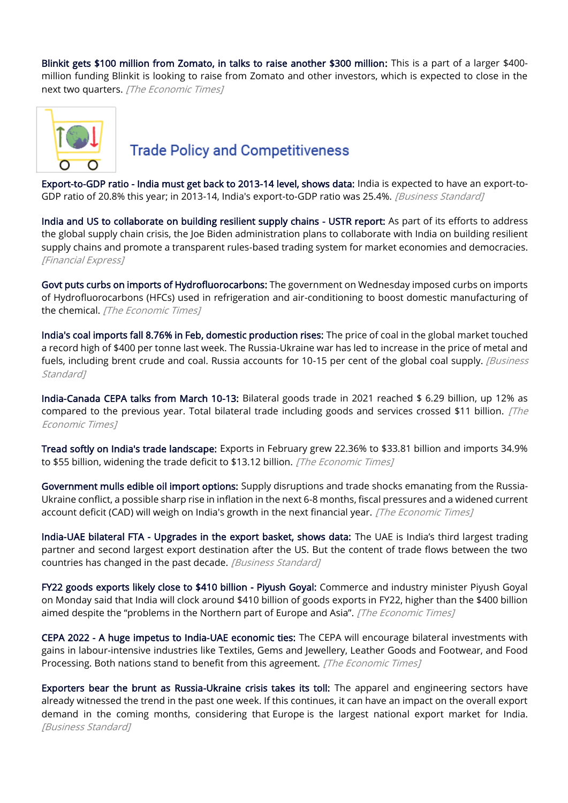[Blinkit gets \\$100 million from Zomato, in talks to raise another \\$300 million:](https://economictimes.indiatimes.com/tech/funding/blinkit-gets-100-million-from-zomato-in-talks-to-raise-another-300-million/articleshow/90131825.cms) This is a part of a larger \$400 million funding Blinkit is looking to raise from Zomato and other investors, which is expected to close in the next two quarters. [The Economic Times]



#### **Trade Policy and Competitiveness**

[Export-to-GDP ratio - India must get back to 2013-14 level, shows data:](https://www.business-standard.com/article/economy-policy/export-to-gdp-ratio-india-must-get-back-to-2013-14-level-shows-data-122030700924_1.html) India is expected to have an export-to-GDP ratio of 20.8% this year; in 2013-14, India's export-to-GDP ratio was 25.4%. [Business Standard]

[India and US to collaborate on building resilient supply chains - USTR report:](https://www.financialexpress.com/economy/india-and-us-to-collaborate-on-building-resilient-supply-chains-ustr-report/2453857/) As part of its efforts to address the global supply chain crisis, the Joe Biden administration plans to collaborate with India on building resilient supply chains and promote a transparent rules-based trading system for market economies and democracies. [Financial Express]

[Govt puts curbs on imports of Hydrofluorocarbons:](https://economictimes.indiatimes.com/news/economy/foreign-trade/govt-puts-curbs-on-imports-of-hydrofluorocarbons/articleshow/90108242.cms) The government on Wednesday imposed curbs on imports of Hydrofluorocarbons (HFCs) used in refrigeration and air-conditioning to boost domestic manufacturing of the chemical. [The Economic Times]

[India's coal imports fall 8.76% in Feb, domestic production rises:](https://www.business-standard.com/article/companies/india-s-coal-imports-fall-8-76-in-feb-domestic-production-rises-122030701156_1.html) The price of coal in the global market touched a record high of \$400 per tonne last week. The Russia-Ukraine war has led to increase in the price of metal and fuels, including brent crude and coal. Russia accounts for 10-15 per cent of the global coal supply. *[Business* Standard]

[India-Canada CEPA talks from March 10-13:](https://economictimes.indiatimes.com/news/economy/foreign-trade/india-canada-cepa-talks-from-march-10-13/articleshow/90105610.cms) Bilateral goods trade in 2021 reached \$ 6.29 billion, up 12% as compared to the previous year. Total bilateral trade including goods and services crossed \$11 billion.  $[The$ Economic Times]

[Tread softly on India's trade landscape:](https://economictimes.indiatimes.com/opinion/et-editorial/tread-softly-on-indias-trade-landscape/articleshow/90001771.cms) Exports in February grew 22.36% to \$33.81 billion and imports 34.9% to \$55 billion, widening the trade deficit to \$13.12 billion. [The Economic Times]

[Government mulls edible oil import options:](https://economictimes.indiatimes.com/news/economy/foreign-trade/government-mulls-edible-oil-import-options/articleshow/90061809.cms) Supply disruptions and trade shocks emanating from the Russia-Ukraine conflict, a possible sharp rise in inflation in the next 6-8 months, fiscal pressures and a widened current account deficit (CAD) will weigh on India's growth in the next financial year. [The Economic Times]

[India-UAE bilateral FTA - Upgrades in the export basket, shows data:](https://www.business-standard.com/article/economy-policy/india-uae-bilateral-fta-upgrades-in-the-export-basket-shows-data-122030901460_1.html) The UAE is India's third largest trading partner and second largest export destination after the US. But the content of trade flows between the two countries has changed in the past decade. [Business Standard]

[FY22 goods exports likely close to \\$410 billion - Piyush Goyal:](https://economictimes.indiatimes.com/news/economy/foreign-trade/fy22-goods-exports-likely-close-to-410-billion-piyush-goyal/articleshow/90058481.cms) Commerce and industry minister Piyush Goyal on Monday said that India will clock around \$410 billion of goods exports in FY22, higher than the \$400 billion aimed despite the "problems in the Northern part of Europe and Asia". [The Economic Times]

[CEPA 2022 - A huge impetus to India-UAE economic ties:](https://economictimes.indiatimes.com/news/economy/foreign-trade/cepa-2022-a-huge-impetus-to-india-uae-economic-ties/articleshow/89938620.cms) The CEPA will encourage bilateral investments with gains in labour-intensive industries like Textiles, Gems and Jewellery, Leather Goods and Footwear, and Food Processing. Both nations stand to benefit from this agreement. [The Economic Times]

[Exporters bear the brunt as Russia-Ukraine crisis takes its toll:](https://www.business-standard.com/article/economy-policy/exporters-bear-the-brunt-as-russia-ukraine-crisis-takes-its-toll-122030500067_1.html) The apparel and engineering sectors have already witnessed the trend in the past one week. If this continues, it can have an impact on the overall export demand in the coming months, considering that Europe is the largest national export market for India. [Business Standard]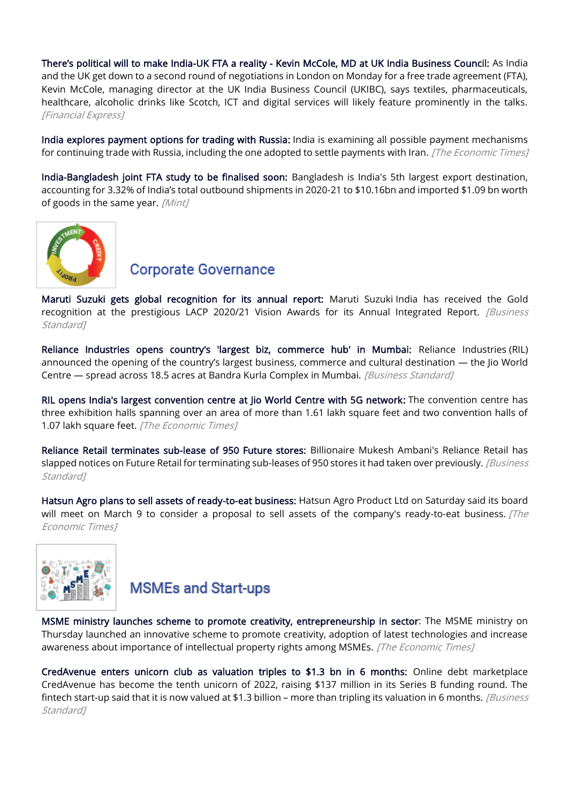There's political will to make India[-UK FTA a reality - Kevin McCole, MD at UK India Business Council:](https://www.financialexpress.com/economy/theres-political-will-to-make-india-uk-fta-a-reality-kevin-mccole-md-at-uk-india-business-council/2452396/) As India and the UK get down to a second round of negotiations in London on Monday for a free trade agreement (FTA), Kevin McCole, managing director at the UK India Business Council (UKIBC), says textiles, pharmaceuticals, healthcare, alcoholic drinks like Scotch, ICT and digital services will likely feature prominently in the talks. [Financial Express]

[India explores payment options for trading with Russia:](https://economictimes.indiatimes.com/news/economy/foreign-trade/india-explores-payment-options-for-trade-with-russia/articleshow/89980949.cms) India is examining all possible payment mechanisms for continuing trade with Russia, including the one adopted to settle payments with Iran. *[The Economic Times]* 

[India-Bangladesh joint FTA study to be finalised soon:](https://www.livemint.com/economy/indiabangladesh-joint-fta-study-to-be-finalised-soon-11646469434822.html) Bangladesh is India's 5th largest export destination, accounting for 3.32% of India's total outbound shipments in 2020-21 to \$10.16bn and imported \$1.09 bn worth of goods in the same year. [Mint]



#### **Corporate Governance**

[Maruti Suzuki gets global recognition for its annual report:](https://www.business-standard.com/article/companies/maruti-suzuki-gets-global-recognition-for-its-annual-report-122030701092_1.html) Maruti Suzuki India has received the Gold recognition at the prestigious LACP 2020/21 Vision Awards for its Annual Integrated Report. [Business Standard<sub>1</sub>

[Reliance Industries opens country's 'largest biz, commerce hub' in Mumbai:](https://www.business-standard.com/article/companies/reliance-industries-opens-country-s-largest-biz-commerce-hub-in-mumbai-122030500107_1.html) Reliance Industries (RIL) announced the opening of the country's largest business, commerce and cultural destination — the Jio World Centre — spread across 18.5 acres at Bandra Kurla Complex in Mumbai. [Business Standard]

[RIL opens India's largest convention centre at Jio World Centre with 5G network:](https://economictimes.indiatimes.com/industry/telecom/telecom-news/ril-opens-indias-largest-convention-centre-at-jio-world-centre-with-5g-network/articleshow/90001029.cms) The convention centre has three exhibition halls spanning over an area of more than 1.61 lakh square feet and two convention halls of 1.07 lakh square feet. [The Economic Times]

[Reliance Retail terminates sub-lease of 950 Future stores:](https://www.business-standard.com/article/companies/reliance-retail-terminates-sub-lease-of-950-future-stores-122031000650_1.html) Billionaire Mukesh Ambani's Reliance Retail has slapped notices on Future Retail for terminating sub-leases of 950 stores it had taken over previously. [Business Standard<sub>1</sub>

[Hatsun Agro plans to sell assets of ready-to-eat business:](https://economictimes.indiatimes.com/industry/cons-products/food/hatsun-agro-plans-to-sell-assets-of-ready-to-eat-business/articleshow/90016934.cms) Hatsun Agro Product Ltd on Saturday said its board will meet on March 9 to consider a proposal to sell assets of the company's ready-to-eat business.  $\int$ *The* Economic Times]



## **MSMEs and Start-ups**

[MSME ministry launches scheme to promote creativity, entrepreneurship in sector:](https://economictimes.indiatimes.com/small-biz/sme-sector/msme-ministry-launches-scheme-to-promote-creativity-entrepreneurship-in-sector/articleshow/90125346.cms) The MSME ministry on Thursday launched an innovative scheme to promote creativity, adoption of latest technologies and increase awareness about importance of intellectual property rights among MSMEs. [The Economic Times]

[CredAvenue enters unicorn club as valuation triples to \\$1.3 bn in 6 months:](https://www.business-standard.com/article/companies/credavenue-enters-unicorn-club-as-valuation-triples-to-1-3-bn-in-6-months-122030600654_1.html) Online debt marketplace CredAvenue has become the tenth unicorn of 2022, raising \$137 million in its Series B funding round. The fintech start-up said that it is now valued at \$1.3 billion – more than tripling its valuation in 6 months. *[Business* Standard<sub>1</sub>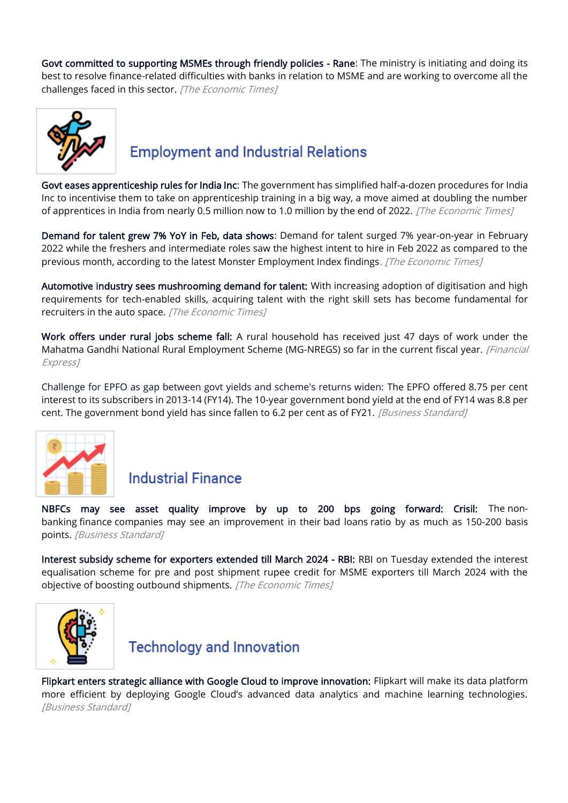[Govt committed to supporting MSMEs through friendly policies - Rane:](https://economictimes.indiatimes.com/small-biz/sme-sector/govt-committed-to-supporting-msmes-through-friendly-policies-rane/articleshow/90115696.cms) The ministry is initiating and doing its best to resolve finance-related difficulties with banks in relation to MSME and are working to overcome all the challenges faced in this sector. [The Economic Times]



#### **Employment and Industrial Relations**

[Govt eases apprenticeship rules for India Inc:](https://economictimes.indiatimes.com/news/economy/policy/govt-eases-apprenticeship-rules-for-india-inc/articleshow/89978463.cms) The government has simplified half-a-dozen procedures for India Inc to incentivise them to take on apprenticeship training in a big way, a move aimed at doubling the number of apprentices in India from nearly 0.5 million now to 1.0 million by the end of 2022. [The Economic Times]

[Demand for talent grew 7% YoY in Feb, data shows:](https://economictimes.indiatimes.com/news/company/corporate-trends/demand-for-talent-grew-7-yoy-in-feb-data-shows/articleshow/90121176.cms) Demand for talent surged 7% year-on-year in February 2022 while the freshers and intermediate roles saw the highest intent to hire in Feb 2022 as compared to the previous month, according to the latest Monster Employment Index findings. [The Economic Times]

[Automotive industry sees mushrooming demand for talent:](https://economictimes.indiatimes.com/jobs/automotive-industry-sees-mushrooming-demand-for-talent/articleshow/89983528.cms) With increasing adoption of digitisation and high requirements for tech-enabled skills, acquiring talent with the right skill sets has become fundamental for recruiters in the auto space. [The Economic Times]

[Work offers under rural jobs scheme fall:](https://www.financialexpress.com/economy/work-offers-under-rural-jobs-scheme-fall/2451407/) A rural household has received just 47 days of work under the Mahatma Gandhi National Rural Employment Scheme (MG-NREGS) so far in the current fiscal year. [Financial Express]

[Challenge for EPFO as gap between govt yields and scheme's returns widen:](https://www.business-standard.com/article/economy-policy/challenge-for-epfo-as-gap-between-govt-yields-and-scheme-s-returns-widen-122030801297_1.html) The EPFO offered 8.75 per cent interest to its subscribers in 2013-14 (FY14). The 10-year government bond yield at the end of FY14 was 8.8 per cent. The government bond yield has since fallen to 6.2 per cent as of FY21. *[Business Standard]* 



#### **Industrial Finance**

[NBFCs may see asset quality improve by up to 200 bps going forward: Crisil:](https://www.business-standard.com/article/finance/nbfcs-may-see-asset-quality-improve-by-up-to-200-bps-going-forward-crisil-122030400933_1.html) The nonbanking finance companies may see an improvement in their bad loans ratio by as much as 150-200 basis points. [Business Standard]

[Interest subsidy scheme for exporters extended till March 2024 - RBI:](https://economictimes.indiatimes.com/news/economy/policy/interest-subsidy-scheme-for-exporters-extended-till-march-2024-rbi/articleshow/90084862.cms) RBI on Tuesday extended the interest equalisation scheme for pre and post shipment rupee credit for MSME exporters till March 2024 with the objective of boosting outbound shipments. [The Economic Times]



**Technology and Innovation** 

[Flipkart enters strategic alliance with Google Cloud to improve innovation:](https://www.business-standard.com/article/companies/flipkart-enters-strategic-alliance-with-google-cloud-to-improve-innovation-122030800698_1.html) Flipkart will make its data platform more efficient by deploying Google Cloud's advanced data analytics and machine learning technologies. [Business Standard]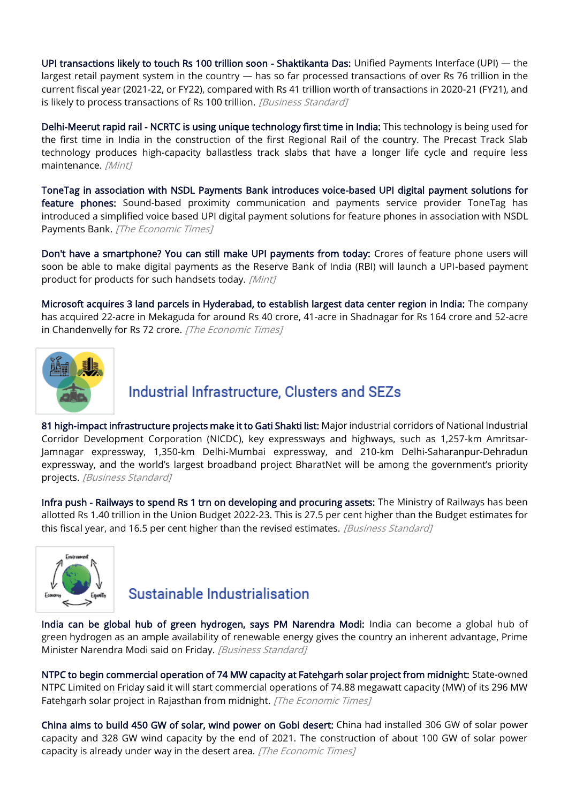[UPI transactions likely to touch Rs 100 trillion soon - Shaktikanta Das:](https://www.business-standard.com/article/finance/upi-transactions-likely-to-touch-rs-100-trillion-soon-shaktikanta-das-122030801545_1.html) Unified Payments Interface (UPI) — the largest retail payment system in the country — has so far processed transactions of over Rs 76 trillion in the current fiscal year (2021-22, or FY22), compared with Rs 41 trillion worth of transactions in 2020-21 (FY21), and is likely to process transactions of Rs 100 trillion. [Business Standard]

[Delhi-Meerut rapid rail - NCRTC is using unique technology first time in India:](https://www.livemint.com/industry/infrastructure/delhimeerut-rapid-rail-ncrtc-is-using-unique-technology-first-time-in-india-11646718636936.html) This technology is being used for the first time in India in the construction of the first Regional Rail of the country. The Precast Track Slab technology produces high-capacity ballastless track slabs that have a longer life cycle and require less maintenance. [Mint]

[ToneTag in association with NSDL Payments Bank introduces voice-based UPI digital payment solutions for](https://economictimes.indiatimes.com/industry/banking/finance/banking/tonetag-in-association-with-nsdl-payments-bank-introduces-voice-based-upi-digital-payment-solutions-for-feature-phones/articleshow/90129429.cms)  [feature phones:](https://economictimes.indiatimes.com/industry/banking/finance/banking/tonetag-in-association-with-nsdl-payments-bank-introduces-voice-based-upi-digital-payment-solutions-for-feature-phones/articleshow/90129429.cms) Sound-based proximity communication and payments service provider ToneTag has introduced a simplified voice based UPI digital payment solutions for feature phones in association with NSDL Payments Bank. [The Economic Times]

[Don't have a smartphone? You can still make UPI payments from today:](https://www.livemint.com/industry/banking/dont-have-a-smartphone-you-can-still-make-upi-payments-from-today-11646710800121.html) Crores of feature phone users will soon be able to make digital payments as the Reserve Bank of India (RBI) will launch a UPI-based payment product for products for such handsets today. [Mint]

[Microsoft acquires 3 land parcels in Hyderabad, to establish largest data center region in India:](https://economictimes.indiatimes.com/industry/services/property-/-cstruction/microsoft-acquires-3-land-parcels-in-hyd-to-establish-largest-datacenter-region-in-india/articleshow/90048427.cms) The company has acquired 22-acre in Mekaguda for around Rs 40 crore, 41-acre in Shadnagar for Rs 164 crore and 52-acre in Chandenvelly for Rs 72 crore. [The Economic Times]



#### Industrial Infrastructure, Clusters and SEZs

[81 high-impact infrastructure projects make it to Gati Shakti list:](https://www.business-standard.com/article/economy-policy/81-high-impact-infrastructure-projects-make-it-to-gati-shakti-list-122030700032_1.html) Major industrial corridors of National Industrial Corridor Development Corporation (NICDC), key expressways and highways, such as 1,257-km Amritsar-Jamnagar expressway, 1,350-km Delhi-Mumbai expressway, and 210-km Delhi-Saharanpur-Dehradun expressway, and the world's largest broadband project BharatNet will be among the government's priority projects. [Business Standard]

[Infra push - Railways to spend Rs 1 trn on developing and procuring assets:](https://www.business-standard.com/article/economy-policy/infra-push-railways-to-spend-rs-1-trn-on-developing-and-procuring-assets-122031000037_1.html) The Ministry of Railways has been allotted Rs 1.40 trillion in the Union Budget 2022-23. This is 27.5 per cent higher than the Budget estimates for this fiscal year, and 16.5 per cent higher than the revised estimates. *[Business Standard]* 



#### Sustainable Industrialisation

[India can be global hub of green hydrogen, says PM Narendra Modi:](https://www.business-standard.com/article/economy-policy/india-can-be-global-hub-of-green-hydrogen-says-pm-narendra-modi-122030401489_1.html) India can become a global hub of green hydrogen as an ample availability of renewable energy gives the country an inherent advantage, Prime Minister Narendra Modi said on Friday. [Business Standard]

[NTPC to begin commercial operation of 74 MW capacity at Fatehgarh solar project from midnight:](https://economictimes.indiatimes.com/industry/renewables/ntpc-to-begin-commercial-operation-of-74-mw-capacity-at-fatehgarh-solar-project-from-midnight/articleshow/89996904.cms) State-owned NTPC Limited on Friday said it will start commercial operations of 74.88 megawatt capacity (MW) of its 296 MW Fatehgarh solar project in Rajasthan from midnight. [The Economic Times]

[China aims to build 450 GW of solar, wind power on Gobi desert:](https://economictimes.indiatimes.com/industry/renewables/china-aims-to-build-450-gw-of-solar-wind-power-on-gobi-desert/articleshow/90018420.cms) China had installed 306 GW of solar power capacity and 328 GW wind capacity by the end of 2021. The construction of about 100 GW of solar power capacity is already under way in the desert area. [The Economic Times]